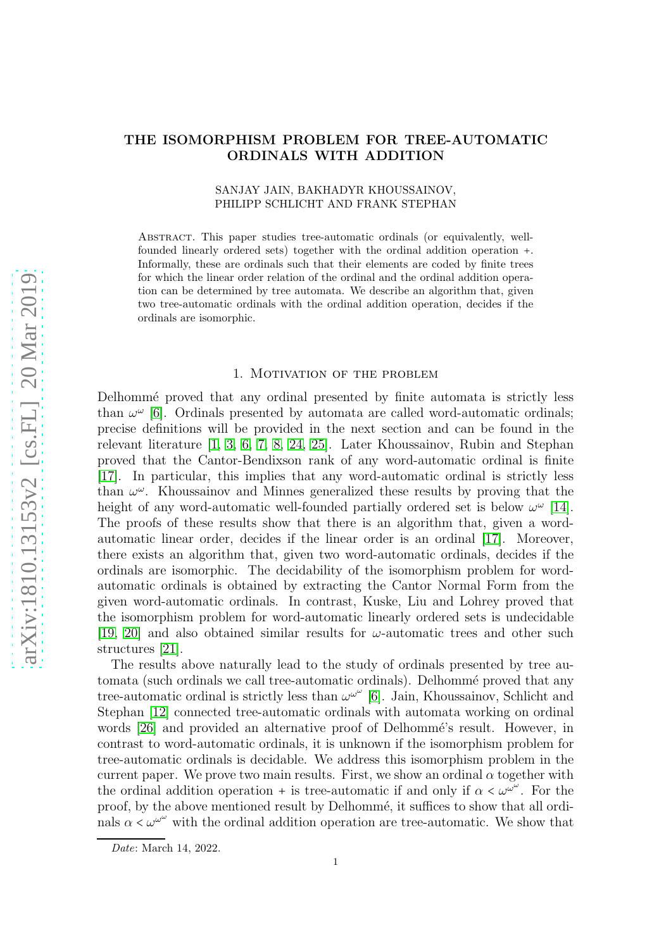# THE ISOMORPHISM PROBLEM FOR TREE-AUTOMATIC ORDINALS WITH ADDITION

## SANJAY JAIN, BAKHADYR KHOUSSAINOV, PHILIPP SCHLICHT AND FRANK STEPHAN

Abstract. This paper studies tree-automatic ordinals (or equivalently, wellfounded linearly ordered sets) together with the ordinal addition operation +. Informally, these are ordinals such that their elements are coded by finite trees for which the linear order relation of the ordinal and the ordinal addition operation can be determined by tree automata. We describe an algorithm that, given two tree-automatic ordinals with the ordinal addition operation, decides if the ordinals are isomorphic.

### 1. Motivation of the problem

Delhommé proved that any ordinal presented by finite automata is strictly less than  $\omega^{\omega}$  [\[6\]](#page-8-0). Ordinals presented by automata are called word-automatic ordinals; precise definitions will be provided in the next section and can be found in the relevant literature [\[1,](#page-7-0) [3,](#page-8-1) [6,](#page-8-0) [7,](#page-8-2) [8,](#page-8-3) [24,](#page-8-4) [25\]](#page-8-5). Later Khoussainov, Rubin and Stephan proved that the Cantor-Bendixson rank of any word-automatic ordinal is finite [\[17\]](#page-8-6). In particular, this implies that any word-automatic ordinal is strictly less than  $\omega^{\omega}$ . Khoussainov and Minnes generalized these results by proving that the height of any word-automatic well-founded partially ordered set is below  $\omega^{\omega}$  [\[14\]](#page-8-7). The proofs of these results show that there is an algorithm that, given a wordautomatic linear order, decides if the linear order is an ordinal [\[17\]](#page-8-6). Moreover, there exists an algorithm that, given two word-automatic ordinals, decides if the ordinals are isomorphic. The decidability of the isomorphism problem for wordautomatic ordinals is obtained by extracting the Cantor Normal Form from the given word-automatic ordinals. In contrast, Kuske, Liu and Lohrey proved that the isomorphism problem for word-automatic linearly ordered sets is undecidable [\[19,](#page-8-8) [20\]](#page-8-9) and also obtained similar results for  $\omega$ -automatic trees and other such structures [\[21\]](#page-8-10).

The results above naturally lead to the study of ordinals presented by tree automata (such ordinals we call tree-automatic ordinals). Delhommé proved that any tree-automatic ordinal is strictly less than  $\omega^{\omega^{\omega}}$  [\[6\]](#page-8-0). Jain, Khoussainov, Schlicht and Stephan [\[12\]](#page-8-11) connected tree-automatic ordinals with automata working on ordinal words [\[26\]](#page-8-12) and provided an alternative proof of Delhommé's result. However, in contrast to word-automatic ordinals, it is unknown if the isomorphism problem for tree-automatic ordinals is decidable. We address this isomorphism problem in the current paper. We prove two main results. First, we show an ordinal  $\alpha$  together with the ordinal addition operation + is tree-automatic if and only if  $\alpha < \omega^{\omega^{\omega}}$ . For the proof, by the above mentioned result by Delhommé, it suffices to show that all ordinals  $\alpha < \omega^{\omega^{\omega}}$  with the ordinal addition operation are tree-automatic. We show that

*Date*: March 14, 2022.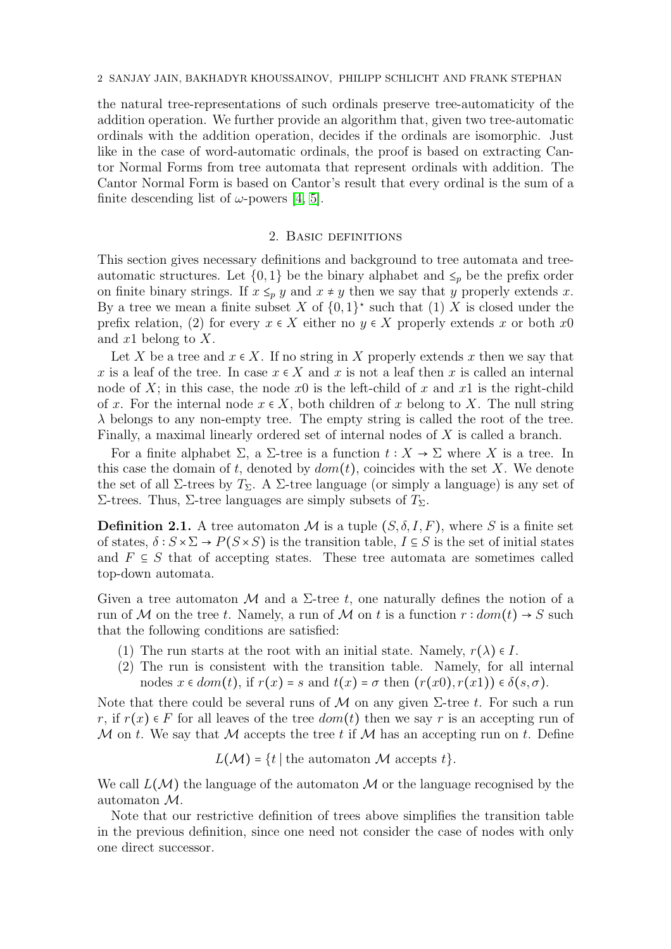the natural tree-representations of such ordinals preserve tree-automaticity of the addition operation. We further provide an algorithm that, given two tree-automatic ordinals with the addition operation, decides if the ordinals are isomorphic. Just like in the case of word-automatic ordinals, the proof is based on extracting Cantor Normal Forms from tree automata that represent ordinals with addition. The Cantor Normal Form is based on Cantor's result that every ordinal is the sum of a finite descending list of  $\omega$ -powers [\[4,](#page-8-13) [5\]](#page-8-14).

## 2. Basic definitions

This section gives necessary definitions and background to tree automata and treeautomatic structures. Let  $\{0,1\}$  be the binary alphabet and  $\leq_p$  be the prefix order on finite binary strings. If  $x \leq_{p} y$  and  $x \neq y$  then we say that y properly extends x. By a tree we mean a finite subset X of  $\{0,1\}^*$  such that  $(1)$  X is closed under the prefix relation, (2) for every  $x \in X$  either no  $y \in X$  properly extends x or both x0 and  $x1$  belong to X.

Let X be a tree and  $x \in X$ . If no string in X properly extends x then we say that x is a leaf of the tree. In case  $x \in X$  and x is not a leaf then x is called an internal node of X; in this case, the node x0 is the left-child of x and x1 is the right-child of x. For the internal node  $x \in X$ , both children of x belong to X. The null string  $\lambda$  belongs to any non-empty tree. The empty string is called the root of the tree. Finally, a maximal linearly ordered set of internal nodes of X is called a branch.

For a finite alphabet  $\Sigma$ , a  $\Sigma$ -tree is a function  $t : X \to \Sigma$  where X is a tree. In this case the domain of t, denoted by  $dom(t)$ , coincides with the set X. We denote the set of all  $\Sigma$ -trees by  $T_{\Sigma}$ . A  $\Sigma$ -tree language (or simply a language) is any set of Σ-trees. Thus, Σ-tree languages are simply subsets of  $T_{\Sigma}$ .

**Definition 2.1.** A tree automaton M is a tuple  $(S, \delta, I, F)$ , where S is a finite set of states,  $\delta : S \times \Sigma \to P(S \times S)$  is the transition table,  $I \subseteq S$  is the set of initial states and  $F \subseteq S$  that of accepting states. These tree automata are sometimes called top-down automata.

Given a tree automaton M and a  $\Sigma$ -tree t, one naturally defines the notion of a run of M on the tree t. Namely, a run of M on t is a function  $r : dom(t) \rightarrow S$  such that the following conditions are satisfied:

- (1) The run starts at the root with an initial state. Namely,  $r(\lambda) \in I$ .
- (2) The run is consistent with the transition table. Namely, for all internal nodes  $x \in dom(t)$ , if  $r(x) = s$  and  $t(x) = \sigma$  then  $(r(x0), r(x1)) \in \delta(s, \sigma)$ .

Note that there could be several runs of M on any given  $\Sigma$ -tree t. For such a run r, if  $r(x) \in F$  for all leaves of the tree  $dom(t)$  then we say r is an accepting run of M on t. We say that M accepts the tree t if M has an accepting run on t. Define

 $L(\mathcal{M}) = \{t \mid \text{the automaton } \mathcal{M} \text{ accepts } t\}.$ 

We call  $L(\mathcal{M})$  the language of the automaton M or the language recognised by the automaton M.

Note that our restrictive definition of trees above simplifies the transition table in the previous definition, since one need not consider the case of nodes with only one direct successor.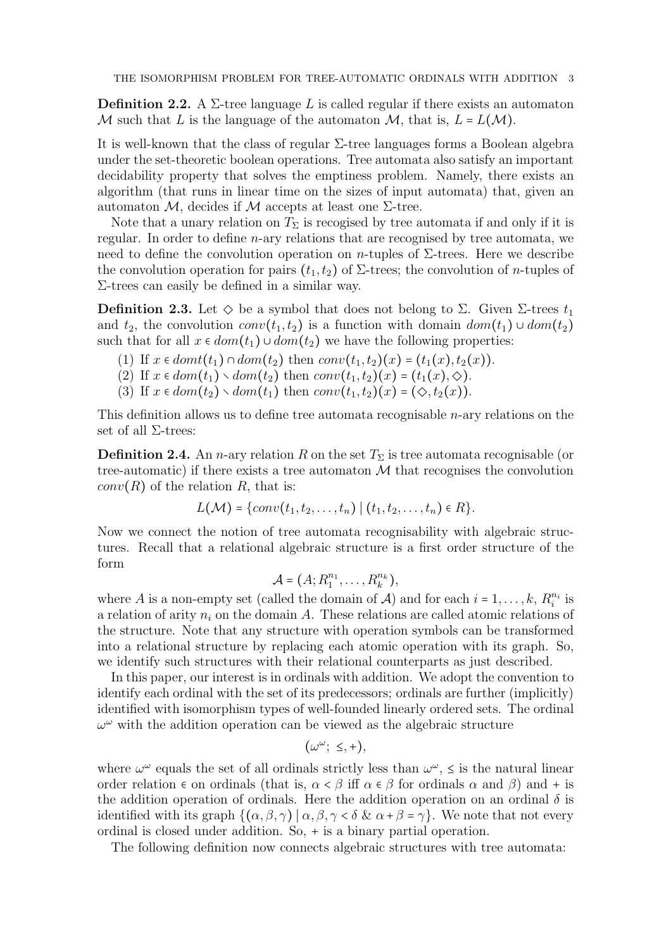**Definition 2.2.** A  $\Sigma$ -tree language L is called regular if there exists an automaton M such that L is the language of the automaton M, that is,  $L = L(M)$ .

It is well-known that the class of regular  $\Sigma$ -tree languages forms a Boolean algebra under the set-theoretic boolean operations. Tree automata also satisfy an important decidability property that solves the emptiness problem. Namely, there exists an algorithm (that runs in linear time on the sizes of input automata) that, given an automaton M, decides if M accepts at least one  $\Sigma$ -tree.

Note that a unary relation on  $T_{\Sigma}$  is recogised by tree automata if and only if it is regular. In order to define n-ary relations that are recognised by tree automata, we need to define the convolution operation on n-tuples of  $\Sigma$ -trees. Here we describe the convolution operation for pairs  $(t_1, t_2)$  of  $\Sigma$ -trees; the convolution of *n*-tuples of Σ-trees can easily be defined in a similar way.

Definition 2.3. Let  $\diamond$  be a symbol that does not belong to  $\Sigma$ . Given  $\Sigma$ -trees  $t_1$ and  $t_2$ , the convolution  $conv(t_1, t_2)$  is a function with domain  $dom(t_1) \cup dom(t_2)$ such that for all  $x \in dom(t_1) \cup dom(t_2)$  we have the following properties:

- (1) If  $x \in domt(t_1) \cap dom(t_2)$  then  $conv(t_1, t_2)(x) = (t_1(x), t_2(x)).$
- (2) If  $x \in dom(t_1) \setminus dom(t_2)$  then  $conv(t_1, t_2)(x) = (t_1(x), \diamondsuit)$ .
- (3) If  $x \in dom(t_2) \setminus dom(t_1)$  then  $conv(t_1, t_2)(x) = (\diamondsuit, t_2(x))$ .

This definition allows us to define tree automata recognisable n-ary relations on the set of all  $\Sigma$ -trees:

**Definition 2.4.** An *n*-ary relation R on the set  $T_{\Sigma}$  is tree automata recognisable (or tree-automatic) if there exists a tree automaton  $\mathcal M$  that recognises the convolution  $conv(R)$  of the relation R, that is:

$$
L(\mathcal{M}) = \{conv(t_1, t_2, \ldots, t_n) \mid (t_1, t_2, \ldots, t_n) \in R \}.
$$

Now we connect the notion of tree automata recognisability with algebraic structures. Recall that a relational algebraic structure is a first order structure of the form

$$
\mathcal{A}=(A;R_1^{n_1},\ldots,R_k^{n_k}),
$$

where A is a non-empty set (called the domain of A) and for each  $i = 1, \ldots, k, R_i^{n_i}$  $\frac{n_i}{i}$  is a relation of arity  $n_i$  on the domain A. These relations are called atomic relations of the structure. Note that any structure with operation symbols can be transformed into a relational structure by replacing each atomic operation with its graph. So, we identify such structures with their relational counterparts as just described.

In this paper, our interest is in ordinals with addition. We adopt the convention to identify each ordinal with the set of its predecessors; ordinals are further (implicitly) identified with isomorphism types of well-founded linearly ordered sets. The ordinal  $\omega^{\omega}$  with the addition operation can be viewed as the algebraic structure

$$
(\omega^\omega; \leq, +),
$$

where  $\omega^{\omega}$  equals the set of all ordinals strictly less than  $\omega^{\omega}$ ,  $\leq$  is the natural linear order relation  $\epsilon$  on ordinals (that is,  $\alpha < \beta$  iff  $\alpha \in \beta$  for ordinals  $\alpha$  and  $\beta$ ) and + is the addition operation of ordinals. Here the addition operation on an ordinal  $\delta$  is identified with its graph  $\{(\alpha,\beta,\gamma) \mid \alpha,\beta,\gamma < \delta \& \alpha + \beta = \gamma\}$ . We note that not every ordinal is closed under addition. So, + is a binary partial operation.

The following definition now connects algebraic structures with tree automata: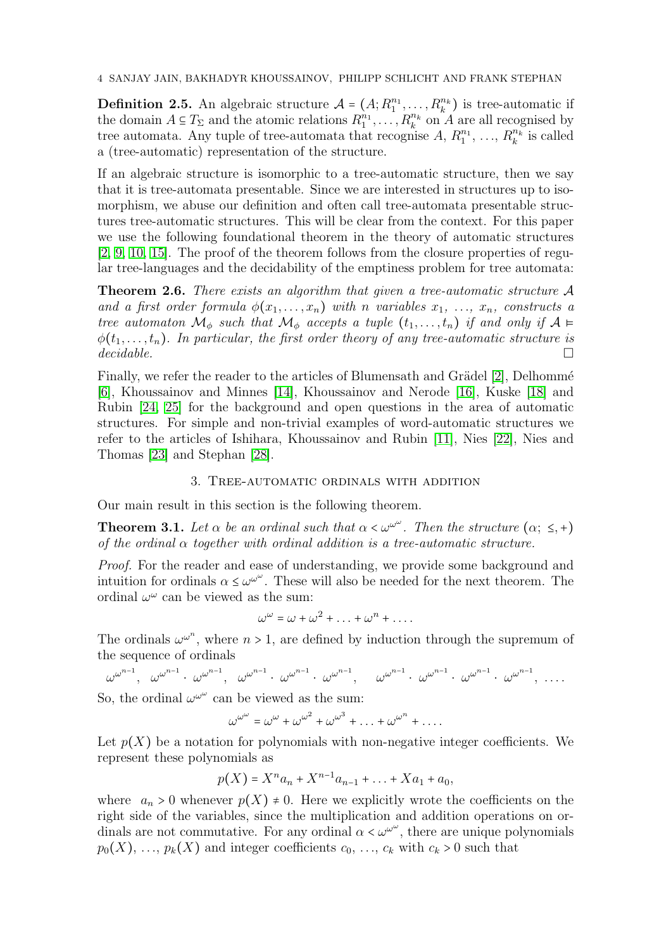**Definition 2.5.** An algebraic structure  $A = (A; R_1^{n_1}, \ldots, R_k^{n_k})$  is tree-automatic if the domain  $A \subseteq T_{\Sigma}$  and the atomic relations  $R_1^{n_1}, \ldots, R_k^{n_k}$  on A are all recognised by tree automata. Any tuple of tree-automata that recognise  $A, R_1^{n_1}, \ldots, R_k^{n_k}$  $\binom{n_k}{k}$  is called a (tree-automatic) representation of the structure.

If an algebraic structure is isomorphic to a tree-automatic structure, then we say that it is tree-automata presentable. Since we are interested in structures up to isomorphism, we abuse our definition and often call tree-automata presentable structures tree-automatic structures. This will be clear from the context. For this paper we use the following foundational theorem in the theory of automatic structures [\[2,](#page-7-1) [9,](#page-8-15) [10,](#page-8-16) [15\]](#page-8-17). The proof of the theorem follows from the closure properties of regular tree-languages and the decidability of the emptiness problem for tree automata:

<span id="page-3-0"></span>**Theorem 2.6.** There exists an algorithm that given a tree-automatic structure  $A$ and a first order formula  $\phi(x_1, \ldots, x_n)$  with n variables  $x_1, \ldots, x_n$ , constructs a tree automaton  $\mathcal{M}_{\phi}$  such that  $\mathcal{M}_{\phi}$  accepts a tuple  $(t_1, \ldots, t_n)$  if and only if  $\mathcal{A} \models$  $\phi(t_1,\ldots,t_n)$ . In particular, the first order theory of any tree-automatic structure is  $decidable.$ 

Finally, we refer the reader to the articles of Blumensath and Grädel [\[2\]](#page-7-1), Delhommé [\[6\]](#page-8-0), Khoussainov and Minnes [\[14\]](#page-8-7), Khoussainov and Nerode [\[16\]](#page-8-18), Kuske [\[18\]](#page-8-19) and Rubin [\[24,](#page-8-4) [25\]](#page-8-5) for the background and open questions in the area of automatic structures. For simple and non-trivial examples of word-automatic structures we refer to the articles of Ishihara, Khoussainov and Rubin [\[11\]](#page-8-20), Nies [\[22\]](#page-8-21), Nies and Thomas [\[23\]](#page-8-22) and Stephan [\[28\]](#page-9-0).

### 3. Tree-automatic ordinals with addition

Our main result in this section is the following theorem.

**Theorem 3.1.** Let  $\alpha$  be an ordinal such that  $\alpha < \omega^{\omega^{\omega}}$ . Then the structure  $(\alpha; \leq, +)$ of the ordinal  $\alpha$  together with ordinal addition is a tree-automatic structure.

Proof. For the reader and ease of understanding, we provide some background and intuition for ordinals  $\alpha \leq \omega^{\omega^{\omega}}$ . These will also be needed for the next theorem. The ordinal  $\omega^{\omega}$  can be viewed as the sum:

$$
\omega^{\omega} = \omega + \omega^2 + \ldots + \omega^n + \ldots
$$

The ordinals  $\omega^{\omega^n}$ , where  $n > 1$ , are defined by induction through the supremum of the sequence of ordinals

 $\omega^{\omega^{n-1}}, \quad \omega^{\omega^{n-1}} \cdot \quad \omega^{\omega^{n-1}} \cdot \quad \omega^{\omega^{n-1}} \cdot \quad \omega^{\omega^{n-1}} \cdot \quad \omega^{\omega^{n-1}} \cdot \quad \omega^{\omega^{n-1}} \cdot \quad \omega^{\omega^{n-1}} \cdot \quad \dots$ 

So, the ordinal  $\omega^{\omega^{\omega}}$  can be viewed as the sum:

$$
\omega^{\omega^{\omega}} = \omega^{\omega} + \omega^{\omega^2} + \omega^{\omega^3} + \ldots + \omega^{\omega^n} + \ldots
$$

Let  $p(X)$  be a notation for polynomials with non-negative integer coefficients. We represent these polynomials as

$$
p(X) = X^n a_n + X^{n-1} a_{n-1} + \ldots + X a_1 + a_0,
$$

where  $a_n > 0$  whenever  $p(X) \neq 0$ . Here we explicitly wrote the coefficients on the right side of the variables, since the multiplication and addition operations on ordinals are not commutative. For any ordinal  $\alpha < \omega^{\omega^{\omega}}$ , there are unique polynomials  $p_0(X), \ldots, p_k(X)$  and integer coefficients  $c_0, \ldots, c_k$  with  $c_k > 0$  such that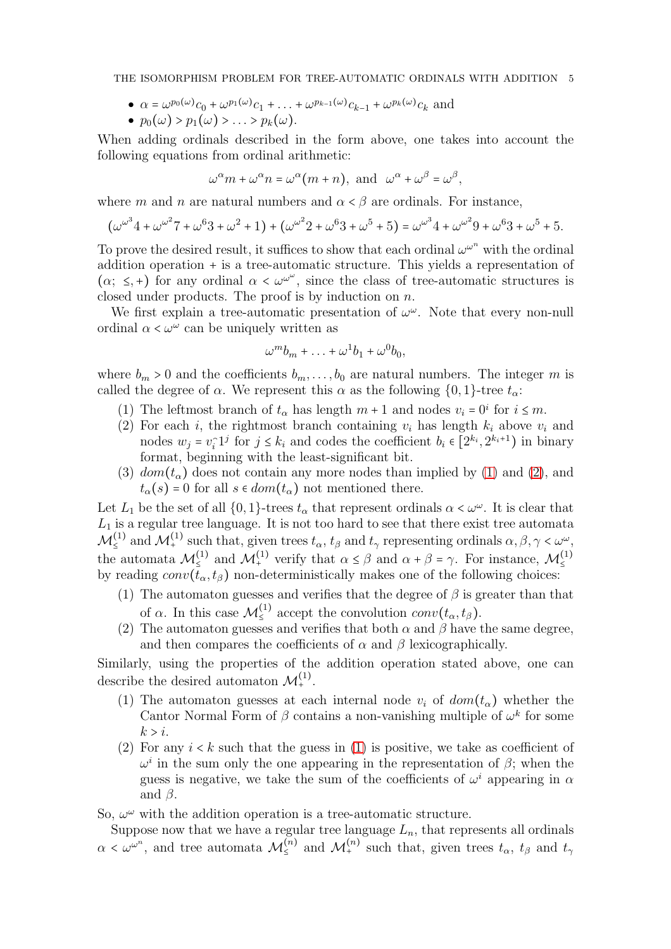THE ISOMORPHISM PROBLEM FOR TREE-AUTOMATIC ORDINALS WITH ADDITION 5

- $\bullet \ \alpha = \omega^{p_0(\omega)} c_0 + \omega^{p_1(\omega)} c_1 + \dots + \omega^{p_{k-1}(\omega)} c_{k-1} + \omega^{p_k(\omega)} c_k$  and
- $\bullet$   $p_0(\omega) > p_1(\omega) > \ldots > p_k(\omega)$ .

When adding ordinals described in the form above, one takes into account the following equations from ordinal arithmetic:

$$
\omega^{\alpha} m + \omega^{\alpha} n = \omega^{\alpha} (m+n), \text{ and } \omega^{\alpha} + \omega^{\beta} = \omega^{\beta},
$$

where m and n are natural numbers and  $\alpha < \beta$  are ordinals. For instance,

$$
(\omega^{\omega^3} 4 + \omega^{\omega^2} 7 + \omega^6 3 + \omega^2 + 1) + (\omega^{\omega^2} 2 + \omega^6 3 + \omega^5 + 5) = \omega^{\omega^3} 4 + \omega^{\omega^2} 9 + \omega^6 3 + \omega^5 + 5.
$$

To prove the desired result, it suffices to show that each ordinal  $\omega^{\omega^n}$  with the ordinal addition operation + is a tree-automatic structure. This yields a representation of  $(\alpha; \leq, +)$  for any ordinal  $\alpha < \omega^{\omega^{\omega}}$ , since the class of tree-automatic structures is closed under products. The proof is by induction on n.

We first explain a tree-automatic presentation of  $\omega^{\omega}$ . Note that every non-null ordinal  $\alpha < \omega^{\omega}$  can be uniquely written as

$$
\omega^m b_m + \ldots + \omega^1 b_1 + \omega^0 b_0,
$$

<span id="page-4-0"></span>where  $b_m > 0$  and the coefficients  $b_m, \ldots, b_0$  are natural numbers. The integer m is called the degree of  $\alpha$ . We represent this  $\alpha$  as the following  $\{0, 1\}$ -tree  $t_{\alpha}$ :

- <span id="page-4-1"></span>(1) The leftmost branch of  $t_{\alpha}$  has length  $m+1$  and nodes  $v_i = 0^i$  for  $i \leq m$ .
- (2) For each i, the rightmost branch containing  $v_i$  has length  $k_i$  above  $v_i$  and nodes  $w_j = v_i \cdot 1^j$  for  $j \leq k_i$  and codes the coefficient  $b_i \in [2^{k_i}, 2^{k_i+1})$  in binary format, beginning with the least-significant bit.
- (3)  $dom(t_{\alpha})$  does not contain any more nodes than implied by [\(1\)](#page-4-0) and [\(2\)](#page-4-1), and  $t_{\alpha}(s) = 0$  for all  $s \in dom(t_{\alpha})$  not mentioned there.

Let  $L_1$  be the set of all  $\{0,1\}$ -trees  $t_\alpha$  that represent ordinals  $\alpha < \omega^\omega$ . It is clear that  $L_1$  is a regular tree language. It is not too hard to see that there exist tree automata  $\mathcal{M}_{\le}^{(1)}$  and  $\mathcal{M}_{+}^{(1)}$  such that, given trees  $t_{\alpha}$ ,  $t_{\beta}$  and  $t_{\gamma}$  representing ordinals  $\alpha, \beta, \gamma < \omega^{\omega}$ , the automata  $\mathcal{M}_{\leq}^{(1)}$  and  $\mathcal{M}_{+}^{(1)}$  verify that  $\alpha \leq \beta$  and  $\alpha + \beta = \gamma$ . For instance,  $\mathcal{M}_{\leq}^{(1)}$ by reading  $conv(\bar{t}_{\alpha}, t_{\beta})$  non-deterministically makes one of the following choices:

- (1) The automaton guesses and verifies that the degree of  $\beta$  is greater than that of  $\alpha$ . In this case  $\mathcal{M}_{\leq}^{(1)}$  accept the convolution  $conv(t_{\alpha}, t_{\beta})$ .
- (2) The automaton guesses and verifies that both  $\alpha$  and  $\beta$  have the same degree, and then compares the coefficients of  $\alpha$  and  $\beta$  lexicographically.

<span id="page-4-2"></span>Similarly, using the properties of the addition operation stated above, one can describe the desired automaton  $\mathcal{M}^{(1)}$ .

- (1) The automaton guesses at each internal node  $v_i$  of  $dom(t_{\alpha})$  whether the Cantor Normal Form of  $\beta$  contains a non-vanishing multiple of  $\omega^k$  for some  $k > i$ .
- (2) For any  $i < k$  such that the guess in [\(1\)](#page-4-2) is positive, we take as coefficient of  $\omega^i$  in the sum only the one appearing in the representation of  $\beta$ ; when the guess is negative, we take the sum of the coefficients of  $\omega^i$  appearing in  $\alpha$ and  $\beta$ .

So,  $\omega^{\omega}$  with the addition operation is a tree-automatic structure.

Suppose now that we have a regular tree language  $L_n$ , that represents all ordinals  $\alpha < \omega^{\omega^n}$ , and tree automata  $\mathcal{M}_{\leq}^{(n)}$  and  $\mathcal{M}_{+}^{(n)}$  such that, given trees  $t_{\alpha}, t_{\beta}$  and  $t_{\gamma}$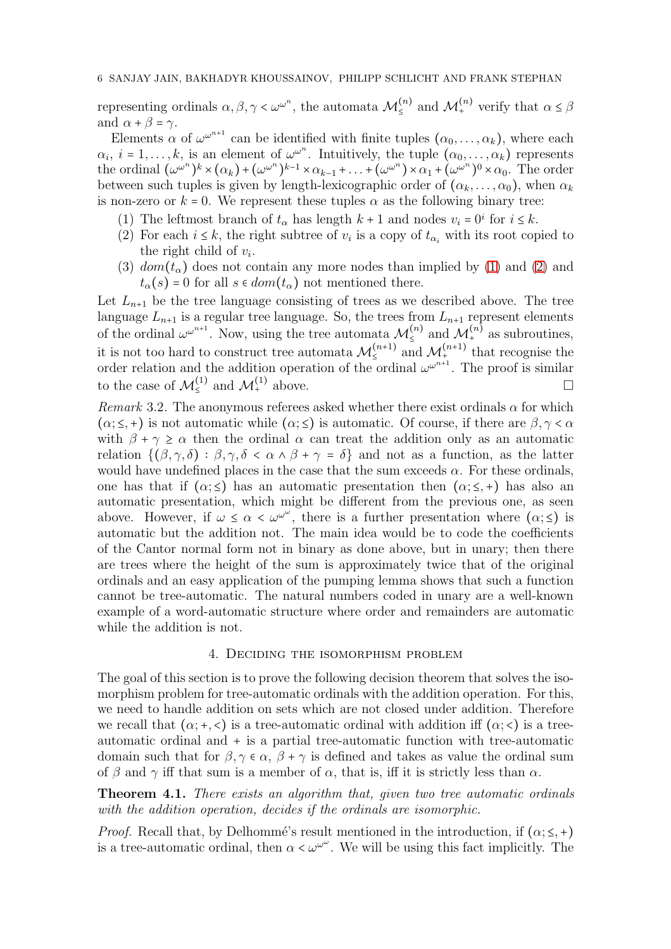representing ordinals  $\alpha, \beta, \gamma < \omega^{\omega^n}$ , the automata  $\mathcal{M}_{\le}^{(n)}$  and  $\mathcal{M}_{+}^{(n)}$  verify that  $\alpha \le \beta$ and  $\alpha + \beta = \gamma$ .

Elements  $\alpha$  of  $\omega^{2^{n+1}}$  can be identified with finite tuples  $(\alpha_0, \ldots, \alpha_k)$ , where each  $\alpha_i, i = 1, \ldots, k$ , is an element of  $\omega^{\omega^n}$ . Intuitively, the tuple  $(\alpha_0, \ldots, \alpha_k)$  represents the ordinal  $(\omega^{\omega^n})^k \times (\alpha_k) + (\omega^{\omega^n})^{k-1} \times \alpha_{k-1} + \ldots + (\omega^{\omega^n}) \times \alpha_1 + (\omega^{\omega^n})^0 \times \alpha_0$ . The order between such tuples is given by length-lexicographic order of  $(\alpha_k, \ldots, \alpha_0)$ , when  $\alpha_k$ is non-zero or  $k = 0$ . We represent these tuples  $\alpha$  as the following binary tree:

- (1) The leftmost branch of  $t_{\alpha}$  has length  $k + 1$  and nodes  $v_i = 0^i$  for  $i \leq k$ .
- (2) For each  $i \leq k$ , the right subtree of  $v_i$  is a copy of  $t_{\alpha_i}$  with its root copied to the right child of  $v_i$ .
- (3)  $dom(t_{\alpha})$  does not contain any more nodes than implied by [\(1\)](#page-4-0) and [\(2\)](#page-4-1) and  $t_{\alpha}(s) = 0$  for all  $s \in dom(t_{\alpha})$  not mentioned there.

Let  $L_{n+1}$  be the tree language consisting of trees as we described above. The tree language  $L_{n+1}$  is a regular tree language. So, the trees from  $L_{n+1}$  represent elements of the ordinal  $\omega^{\omega^{n+1}}$ . Now, using the tree automata  $\mathcal{M}_{\leq}^{(n)}$  and  $\mathcal{M}_{+}^{(n)}$  as subroutines, it is not too hard to construct tree automata  $\mathcal{M}_{\leq}^{(n+1)}$  and  $\mathcal{M}_{\pm}^{(n+1)}$  that recognise the order relation and the addition operation of the ordinal  $\omega^{\omega^{n+1}}$ . The proof is similar to the case of  $\mathcal{M}_{\leq}^{(1)}$  and  $\mathcal{M}_{+}^{(1)}$  above.

Remark 3.2. The anonymous referees asked whether there exist ordinals  $\alpha$  for which  $(\alpha; \leq, +)$  is not automatic while  $(\alpha; \leq)$  is automatic. Of course, if there are  $\beta, \gamma < \alpha$ with  $\beta + \gamma \ge \alpha$  then the ordinal  $\alpha$  can treat the addition only as an automatic relation  $\{(\beta, \gamma, \delta) : \beta, \gamma, \delta < \alpha \wedge \beta + \gamma = \delta\}$  and not as a function, as the latter would have undefined places in the case that the sum exceeds  $\alpha$ . For these ordinals, one has that if  $(\alpha;\leq)$  has an automatic presentation then  $(\alpha;\leq,+)$  has also an automatic presentation, which might be different from the previous one, as seen above. However, if  $\omega \leq \alpha < \omega^{\omega^{\omega}}$ , there is a further presentation where  $(\alpha;\leq)$  is automatic but the addition not. The main idea would be to code the coefficients of the Cantor normal form not in binary as done above, but in unary; then there are trees where the height of the sum is approximately twice that of the original ordinals and an easy application of the pumping lemma shows that such a function cannot be tree-automatic. The natural numbers coded in unary are a well-known example of a word-automatic structure where order and remainders are automatic while the addition is not.

#### 4. Deciding the isomorphism problem

The goal of this section is to prove the following decision theorem that solves the isomorphism problem for tree-automatic ordinals with the addition operation. For this, we need to handle addition on sets which are not closed under addition. Therefore we recall that  $(\alpha; +, <)$  is a tree-automatic ordinal with addition iff  $(\alpha; <)$  is a treeautomatic ordinal and + is a partial tree-automatic function with tree-automatic domain such that for  $\beta, \gamma \in \alpha$ ,  $\beta + \gamma$  is defined and takes as value the ordinal sum of β and  $\gamma$  iff that sum is a member of  $\alpha$ , that is, iff it is strictly less than  $\alpha$ .

Theorem 4.1. There exists an algorithm that, given two tree automatic ordinals with the addition operation, decides if the ordinals are isomorphic.

*Proof.* Recall that, by Delhommé's result mentioned in the introduction, if  $(\alpha; \leq, +)$ is a tree-automatic ordinal, then  $\alpha < \omega^{\omega^{\omega}}$ . We will be using this fact implicitly. The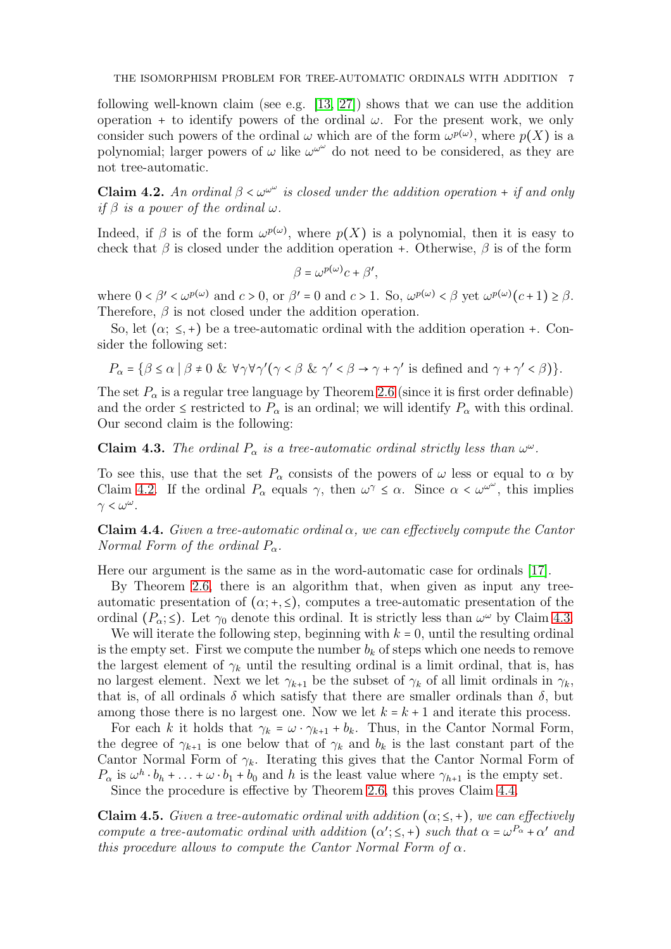following well-known claim (see e.g. [\[13,](#page-8-23) [27\]](#page-8-24)) shows that we can use the addition operation + to identify powers of the ordinal  $\omega$ . For the present work, we only consider such powers of the ordinal  $\omega$  which are of the form  $\omega^{p(\omega)}$ , where  $p(X)$  is a polynomial; larger powers of  $\omega$  like  $\omega^{\omega^{\omega}}$  do not need to be considered, as they are not tree-automatic.

<span id="page-6-0"></span>**Claim 4.2.** An ordinal  $\beta < \omega^{\omega^{\omega}}$  is closed under the addition operation + if and only if  $\beta$  is a power of the ordinal  $\omega$ .

Indeed, if  $\beta$  is of the form  $\omega^{p(\omega)}$ , where  $p(X)$  is a polynomial, then it is easy to check that  $\beta$  is closed under the addition operation +. Otherwise,  $\beta$  is of the form

$$
\beta = \omega^{p(\omega)}c + \beta',
$$

where  $0 < \beta' < \omega^{p(\omega)}$  and  $c > 0$ , or  $\beta' = 0$  and  $c > 1$ . So,  $\omega^{p(\omega)} < \beta$  yet  $\omega^{p(\omega)}(c+1) \ge \beta$ . Therefore,  $\beta$  is not closed under the addition operation.

So, let  $(\alpha; \leq, +)$  be a tree-automatic ordinal with the addition operation +. Consider the following set:

$$
P_{\alpha} = \{ \beta \le \alpha \mid \beta \neq 0 \ \& \ \forall \gamma \forall \gamma' (\gamma < \beta \ \& \ \gamma' < \beta \rightarrow \gamma + \gamma' \text{ is defined and } \gamma + \gamma' < \beta \} \}.
$$

The set  $P_{\alpha}$  is a regular tree language by Theorem [2.6](#page-3-0) (since it is first order definable) and the order  $\leq$  restricted to  $P_{\alpha}$  is an ordinal; we will identify  $P_{\alpha}$  with this ordinal. Our second claim is the following:

<span id="page-6-1"></span>**Claim 4.3.** The ordinal  $P_{\alpha}$  is a tree-automatic ordinal strictly less than  $\omega^{\omega}$ .

To see this, use that the set  $P_\alpha$  consists of the powers of  $\omega$  less or equal to  $\alpha$  by Claim [4.2.](#page-6-0) If the ordinal  $P_{\alpha}$  equals  $\gamma$ , then  $\omega^{\gamma} \leq \alpha$ . Since  $\alpha < \omega^{\omega^{\omega}}$ , this implies  $\gamma < \omega^{\omega}$ .

<span id="page-6-2"></span>**Claim 4.4.** Given a tree-automatic ordinal  $\alpha$ , we can effectively compute the Cantor Normal Form of the ordinal  $P_{\alpha}$ .

Here our argument is the same as in the word-automatic case for ordinals [\[17\]](#page-8-6).

By Theorem [2.6,](#page-3-0) there is an algorithm that, when given as input any treeautomatic presentation of  $(\alpha; +, \leq)$ , computes a tree-automatic presentation of the ordinal  $(P_{\alpha}; \leq)$ . Let  $\gamma_0$  denote this ordinal. It is strictly less than  $\omega^{\omega}$  by Claim [4.3.](#page-6-1)

We will iterate the following step, beginning with  $k = 0$ , until the resulting ordinal is the empty set. First we compute the number  $b_k$  of steps which one needs to remove the largest element of  $\gamma_k$  until the resulting ordinal is a limit ordinal, that is, has no largest element. Next we let  $\gamma_{k+1}$  be the subset of  $\gamma_k$  of all limit ordinals in  $\gamma_k$ , that is, of all ordinals  $\delta$  which satisfy that there are smaller ordinals than  $\delta$ , but among those there is no largest one. Now we let  $k = k + 1$  and iterate this process.

For each k it holds that  $\gamma_k = \omega \cdot \gamma_{k+1} + b_k$ . Thus, in the Cantor Normal Form, the degree of  $\gamma_{k+1}$  is one below that of  $\gamma_k$  and  $b_k$  is the last constant part of the Cantor Normal Form of  $\gamma_k$ . Iterating this gives that the Cantor Normal Form of  $P_{\alpha}$  is  $\omega^h \cdot b_h + \ldots + \omega \cdot b_1 + b_0$  and h is the least value where  $\gamma_{h+1}$  is the empty set.

Since the procedure is effective by Theorem [2.6,](#page-3-0) this proves Claim [4.4.](#page-6-2)

<span id="page-6-3"></span>**Claim 4.5.** Given a tree-automatic ordinal with addition  $(\alpha; \leq, +)$ , we can effectively compute a tree-automatic ordinal with addition  $(\alpha'; \leq, +)$  such that  $\alpha = \omega^{P_{\alpha}} + \alpha'$  and this procedure allows to compute the Cantor Normal Form of  $\alpha$ .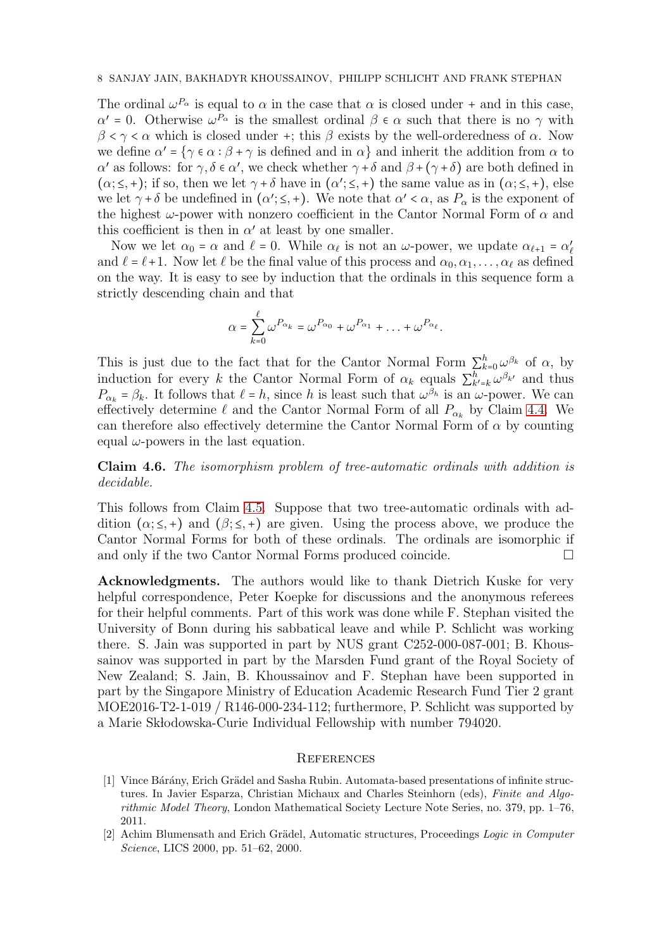The ordinal  $\omega^{P_{\alpha}}$  is equal to  $\alpha$  in the case that  $\alpha$  is closed under + and in this case,  $\alpha' = 0$ . Otherwise  $\omega^{P_\alpha}$  is the smallest ordinal  $\beta \in \alpha$  such that there is no  $\gamma$  with  $\beta < \gamma < \alpha$  which is closed under +; this  $\beta$  exists by the well-orderedness of  $\alpha$ . Now we define  $\alpha' = \{ \gamma \in \alpha : \beta + \gamma \text{ is defined and in } \alpha \}$  and inherit the addition from  $\alpha$  to α' as follows: for  $\gamma, \delta \in \alpha'$ , we check whether  $\gamma + \delta$  and  $\beta + (\gamma + \delta)$  are both defined in  $(\alpha; \leq, +);$  if so, then we let  $\gamma + \delta$  have in  $(\alpha; \leq, +)$  the same value as in  $(\alpha; \leq, +)$ , else we let  $\gamma + \delta$  be undefined in  $(\alpha'; \leq, +)$ . We note that  $\alpha' < \alpha$ , as  $P_{\alpha}$  is the exponent of the highest  $\omega$ -power with nonzero coefficient in the Cantor Normal Form of  $\alpha$  and this coefficient is then in  $\alpha'$  at least by one smaller.

Now we let  $\alpha_0 = \alpha$  and  $\ell = 0$ . While  $\alpha_\ell$  is not an  $\omega$ -power, we update  $\alpha_{\ell+1} = \alpha'_\ell$ and  $\ell = \ell + 1$ . Now let  $\ell$  be the final value of this process and  $\alpha_0, \alpha_1, \ldots, \alpha_\ell$  as defined on the way. It is easy to see by induction that the ordinals in this sequence form a strictly descending chain and that

$$
\alpha = \sum_{k=0}^{\ell} \omega^{P_{\alpha_k}} = \omega^{P_{\alpha_0}} + \omega^{P_{\alpha_1}} + \ldots + \omega^{P_{\alpha_{\ell}}}.
$$

This is just due to the fact that for the Cantor Normal Form  $\sum_{k=0}^{h} \omega^{\beta_k}$  of  $\alpha$ , by induction for every k the Cantor Normal Form of  $\alpha_k$  equals  $\sum_{k'=k}^{h} \omega^{\beta_{k'}}$  and thus  $P_{\alpha_k} = \beta_k$ . It follows that  $\ell = h$ , since h is least such that  $\omega^{\beta_h}$  is an  $\omega$ -power. We can effectively determine  $\ell$  and the Cantor Normal Form of all  $P_{\alpha_k}$  by Claim [4.4.](#page-6-2) We can therefore also effectively determine the Cantor Normal Form of  $\alpha$  by counting equal  $\omega$ -powers in the last equation.

Claim 4.6. The isomorphism problem of tree-automatic ordinals with addition is decidable.

This follows from Claim [4.5.](#page-6-3) Suppose that two tree-automatic ordinals with addition  $(\alpha; \leq, +)$  and  $(\beta; \leq, +)$  are given. Using the process above, we produce the Cantor Normal Forms for both of these ordinals. The ordinals are isomorphic if and only if the two Cantor Normal Forms produced coincide.

Acknowledgments. The authors would like to thank Dietrich Kuske for very helpful correspondence, Peter Koepke for discussions and the anonymous referees for their helpful comments. Part of this work was done while F. Stephan visited the University of Bonn during his sabbatical leave and while P. Schlicht was working there. S. Jain was supported in part by NUS grant C252-000-087-001; B. Khoussainov was supported in part by the Marsden Fund grant of the Royal Society of New Zealand; S. Jain, B. Khoussainov and F. Stephan have been supported in part by the Singapore Ministry of Education Academic Research Fund Tier 2 grant MOE2016-T2-1-019 / R146-000-234-112; furthermore, P. Schlicht was supported by a Marie Skłodowska-Curie Individual Fellowship with number 794020.

### **REFERENCES**

- <span id="page-7-0"></span>[1] Vince Bárány, Erich Grädel and Sasha Rubin. Automata-based presentations of infinite structures. In Javier Esparza, Christian Michaux and Charles Steinhorn (eds), *Finite and Algorithmic Model Theory*, London Mathematical Society Lecture Note Series, no. 379, pp. 1–76, 2011.
- <span id="page-7-1"></span>[2] Achim Blumensath and Erich Grädel, Automatic structures, Proceedings *Logic in Computer Science*, LICS 2000, pp. 51–62, 2000.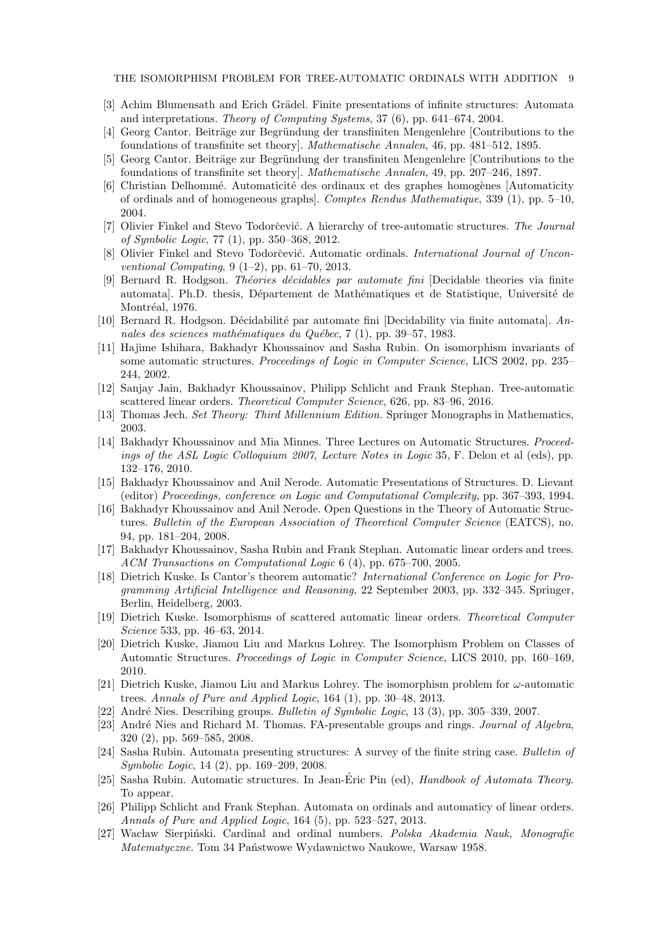THE ISOMORPHISM PROBLEM FOR TREE-AUTOMATIC ORDINALS WITH ADDITION 9

- <span id="page-8-13"></span><span id="page-8-1"></span>[3] Achim Blumensath and Erich Grädel. Finite presentations of infinite structures: Automata and interpretations. *Theory of Computing Systems*, 37 (6), pp. 641–674, 2004.
- <span id="page-8-14"></span>[4] Georg Cantor. Beiträge zur Begründung der transfiniten Mengenlehre [Contributions to the foundations of transfinite set theory]. *Mathematische Annalen*, 46, pp. 481–512, 1895.
- <span id="page-8-0"></span>[5] Georg Cantor. Beiträge zur Begründung der transfiniten Mengenlehre [Contributions to the foundations of transfinite set theory]. *Mathematische Annalen*, 49, pp. 207–246, 1897.
- [6] Christian Delhommé. Automaticité des ordinaux et des graphes homogènes [Automaticity] of ordinals and of homogeneous graphs]. *Comptes Rendus Mathematique*, 339 (1), pp. 5–10, 2004.
- <span id="page-8-2"></span>[7] Olivier Finkel and Stevo Todorčević. A hierarchy of tree-automatic structures. *The Journal of Symbolic Logic*, 77 (1), pp. 350–368, 2012.
- <span id="page-8-15"></span><span id="page-8-3"></span>[8] Olivier Finkel and Stevo Todorčević. Automatic ordinals. *International Journal of Unconventional Computing*, 9 (1–2), pp. 61–70, 2013.
- [9] Bernard R. Hodgson. *Th´eories d´ecidables par automate fini* [Decidable theories via finite automatal. Ph.D. thesis, Département de Mathématiques et de Statistique, Université de Montréal, 1976.
- <span id="page-8-20"></span><span id="page-8-16"></span>[10] Bernard R. Hodgson. Décidabilité par automate fini [Decidability via finite automata]. *An*nales des sciences mathématiques du Québec, 7 (1), pp. 39–57, 1983.
- [11] Hajime Ishihara, Bakhadyr Khoussainov and Sasha Rubin. On isomorphism invariants of some automatic structures. *Proceedings of Logic in Computer Science*, LICS 2002, pp. 235– 244, 2002.
- <span id="page-8-11"></span>[12] Sanjay Jain, Bakhadyr Khoussainov, Philipp Schlicht and Frank Stephan. Tree-automatic scattered linear orders. *Theoretical Computer Science*, 626, pp. 83–96, 2016.
- <span id="page-8-23"></span><span id="page-8-7"></span>[13] Thomas Jech. *Set Theory: Third Millennium Edition.* Springer Monographs in Mathematics, 2003.
- [14] Bakhadyr Khoussainov and Mia Minnes. Three Lectures on Automatic Structures. *Proceedings of the ASL Logic Colloquium 2007*, *Lecture Notes in Logic* 35, F. Delon et al (eds), pp. 132–176, 2010.
- <span id="page-8-17"></span>[15] Bakhadyr Khoussainov and Anil Nerode. Automatic Presentations of Structures. D. Lievant (editor) *Proceedings, conference on Logic and Computational Complexity*, pp. 367–393, 1994.
- <span id="page-8-18"></span>[16] Bakhadyr Khoussainov and Anil Nerode. Open Questions in the Theory of Automatic Structures. *Bulletin of the European Association of Theoretical Computer Science* (EATCS), no. 94, pp. 181–204, 2008.
- <span id="page-8-6"></span>[17] Bakhadyr Khoussainov, Sasha Rubin and Frank Stephan. Automatic linear orders and trees. *ACM Transactions on Computational Logic* 6 (4), pp. 675–700, 2005.
- <span id="page-8-19"></span>[18] Dietrich Kuske. Is Cantor's theorem automatic? *International Conference on Logic for Programming Artificial Intelligence and Reasoning*, 22 September 2003, pp. 332–345. Springer, Berlin, Heidelberg, 2003.
- <span id="page-8-8"></span>[19] Dietrich Kuske. Isomorphisms of scattered automatic linear orders. *Theoretical Computer Science* 533, pp. 46–63, 2014.
- <span id="page-8-9"></span>[20] Dietrich Kuske, Jiamou Liu and Markus Lohrey. The Isomorphism Problem on Classes of Automatic Structures. *Proceedings of Logic in Computer Science*, LICS 2010, pp. 160–169, 2010.
- <span id="page-8-10"></span>[21] Dietrich Kuske, Jiamou Liu and Markus Lohrey. The isomorphism problem for ω-automatic trees. *Annals of Pure and Applied Logic*, 164 (1), pp. 30–48, 2013.
- <span id="page-8-22"></span><span id="page-8-21"></span>[22] Andr´e Nies. Describing groups. *Bulletin of Symbolic Logic*, 13 (3), pp. 305–339, 2007.
- [23] Andr´e Nies and Richard M. Thomas. FA-presentable groups and rings. *Journal of Algebra*, 320 (2), pp. 569–585, 2008.
- <span id="page-8-4"></span>[24] Sasha Rubin. Automata presenting structures: A survey of the finite string case. *Bulletin of Symbolic Logic*, 14 (2), pp. 169–209, 2008.
- <span id="page-8-5"></span>[25] Sasha Rubin. Automatic structures. In Jean-Eric Pin (ed), ´ *Handbook of Automata Theory*. To appear.
- <span id="page-8-12"></span>[26] Philipp Schlicht and Frank Stephan. Automata on ordinals and automaticy of linear orders. *Annals of Pure and Applied Logic*, 164 (5), pp. 523–527, 2013.
- <span id="page-8-24"></span>[27] Wacław Sierpiński. Cardinal and ordinal numbers. *Polska Akademia Nauk, Monografie Matematyczne*. Tom 34 Państwowe Wydawnictwo Naukowe, Warsaw 1958.